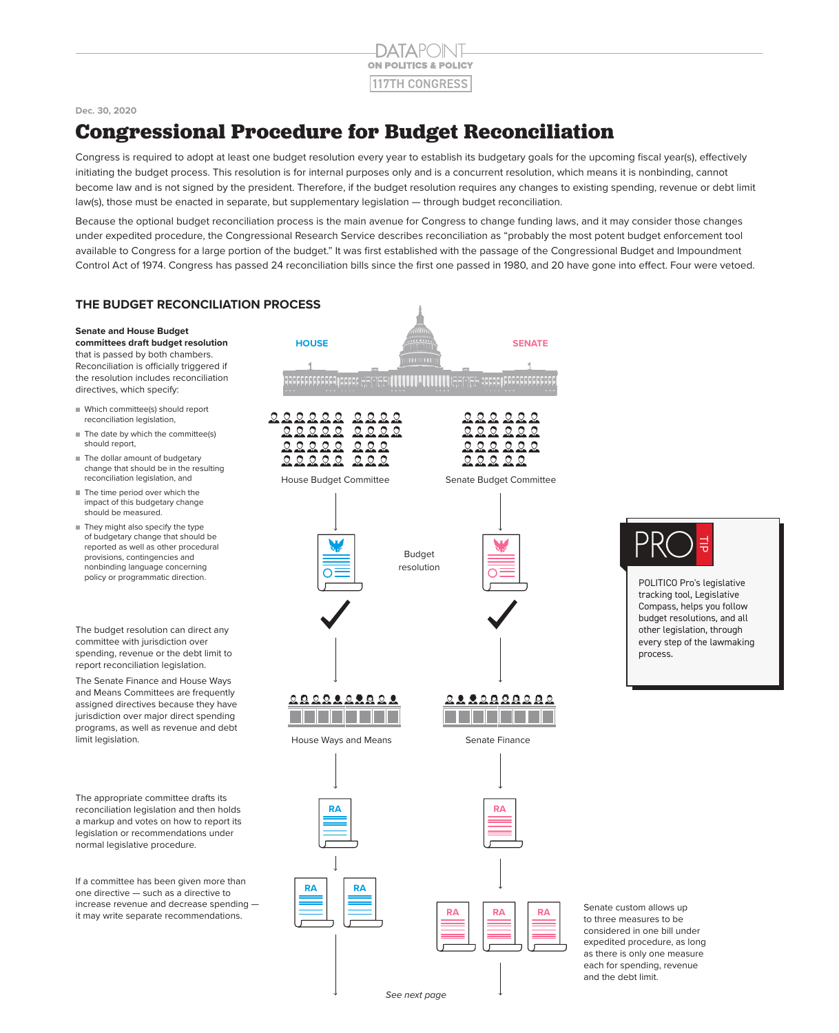

#### **Dec. 30, 2020**

# **Congressional Procedure for Budget Reconciliation**

Congress is required to adopt at least one budget resolution every year to establish its budgetary goals for the upcoming fiscal year(s), effectively initiating the budget process. This resolution is for internal purposes only and is a concurrent resolution, which means it is nonbinding, cannot become law and is not signed by the president. Therefore, if the budget resolution requires any changes to existing spending, revenue or debt limit law(s), those must be enacted in separate, but supplementary legislation — through budget reconciliation.

Because the optional budget reconciliation process is the main avenue for Congress to change funding laws, and it may consider those changes under expedited procedure, the Congressional Research Service describes reconciliation as "probably the most potent budget enforcement tool available to Congress for a large portion of the budget." It was first established with the passage of the Congressional Budget and Impoundment Control Act of 1974. Congress has passed 24 reconciliation bills since the first one passed in 1980, and 20 have gone into effect. Four were vetoed.

### **THE BUDGET RECONCILIATION PROCESS**

#### **Senate and House Budget**

**committees draft budget resolution** that is passed by both chambers. Reconciliation is officially triggered if the resolution includes reconciliation directives, which specify:

- Which committee(s) should report reconciliation legislation,
- $\blacksquare$  The date by which the committee(s) should report,
- The dollar amount of budgetary change that should be in the resulting reconciliation legislation, and
- The time period over which the impact of this budgetary change should be measured.
- They might also specify the type of budgetary change that should be reported as well as other procedural provisions, contingencies and nonbinding language concerning policy or programmatic direction.

The budget resolution can direct any committee with jurisdiction over spending, revenue or the debt limit to report reconciliation legislation.

The Senate Finance and House Ways and Means Committees are frequently assigned directives because they have jurisdiction over major direct spending programs, as well as revenue and debt limit legislation.

The appropriate committee drafts its reconciliation legislation and then holds a markup and votes on how to report its legislation or recommendations under normal legislative procedure.

If a committee has been given more than one directive — such as a directive to increase revenue and decrease spending it may write separate recommendations.



급

POLITICO Pro's legislative tracking tool, Legislative Compass, helps you follow budget resolutions, and all other legislation, through every step of the lawmaking process.

Senate custom allows up to three measures to be considered in one bill under expedited procedure, as long as there is only one measure each for spending, revenue and the debt limit.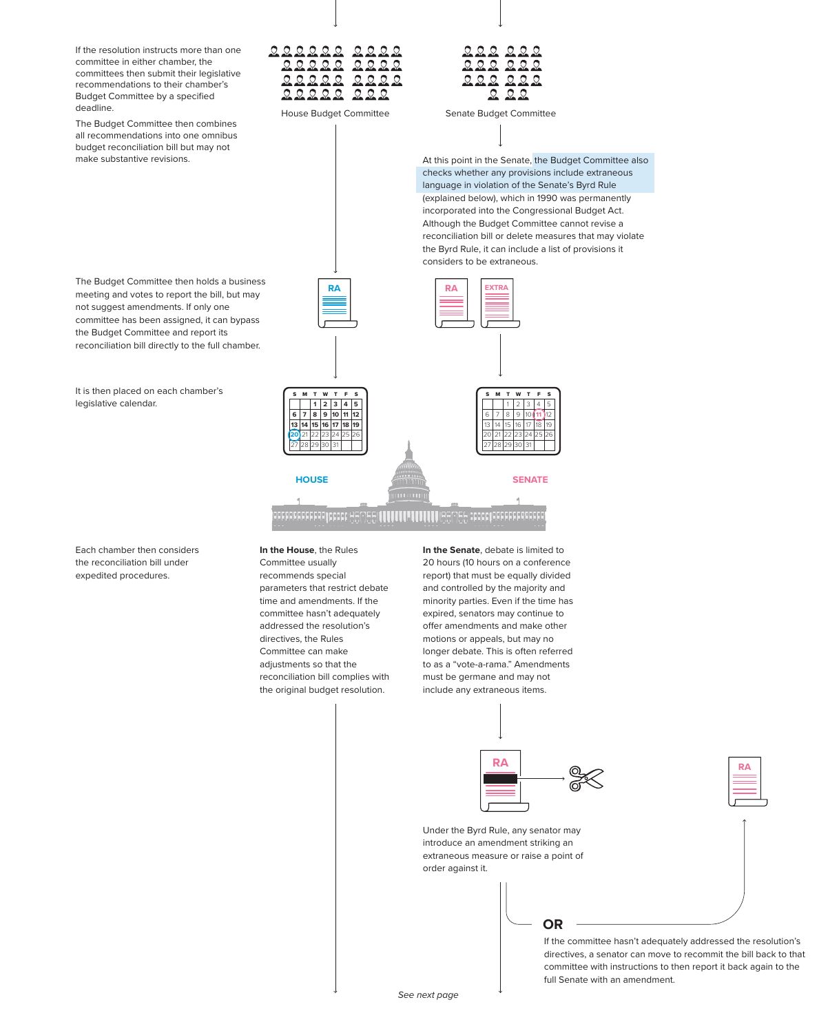If the resolution instructs more than one committee in either chamber, the committees then submit their legislative recommendations to their chamber's Budget Committee by a specified deadline.

The Budget Committee then combines all recommendations into one omnibus budget reconciliation bill but may not make substantive revisions.

The Budget Committee then holds a business meeting and votes to report the bill, but may not suggest amendments. If only one committee has been assigned, it can bypass the Budget Committee and report its reconciliation bill directly to the full chamber.

It is then placed on each chamber's legislative calendar.

Each chamber then considers the reconciliation bill under expedited procedures.

**In the House**, the Rules Committee usually recommends special parameters that restrict debate time and amendments. If the committee hasn't adequately addressed the resolution's directives, the Rules Committee can make adjustments so that the reconciliation bill complies with the original budget resolution.

222222  $22$ 

 $Q_1 Q_2 Q_3$ 

 $\Omega$  $QQ$ 

> **In the Senate**, debate is limited to 20 hours (10 hours on a conference report) that must be equally divided and controlled by the majority and minority parties. Even if the time has expired, senators may continue to offer amendments and make other motions or appeals, but may no longer debate. This is often referred to as a "vote-a-rama." Amendments must be germane and may not include any extraneous items.



If the committee hasn't adequately addressed the resolution's directives, a senator can move to recommit the bill back to that committee with instructions to then report it back again to the full Senate with an amendment.



House Budget Committee Senate Budget Committee

At this point in the Senate, the Budget Committee also checks whether any provisions include extraneous language in violation of the Senate's Byrd Rule (explained below), which in 1990 was permanently incorporated into the Congressional Budget Act. Although the Budget Committee cannot revise a reconciliation bill or delete measures that may violate the Byrd Rule, it can include a list of provisions it considers to be extraneous.